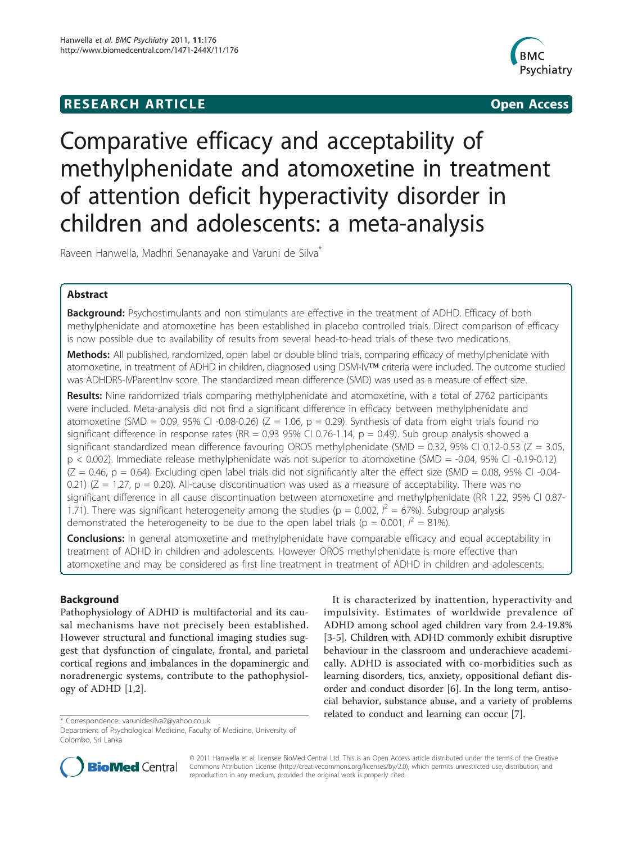# **RESEARCH ARTICLE Example 2014 CONSUMING ACCESS**



# Comparative efficacy and acceptability of methylphenidate and atomoxetine in treatment of attention deficit hyperactivity disorder in children and adolescents: a meta-analysis

Raveen Hanwella, Madhri Senanayake and Varuni de Silva<sup>\*</sup>

# Abstract

**Background:** Psychostimulants and non stimulants are effective in the treatment of ADHD. Efficacy of both methylphenidate and atomoxetine has been established in placebo controlled trials. Direct comparison of efficacy is now possible due to availability of results from several head-to-head trials of these two medications.

Methods: All published, randomized, open label or double blind trials, comparing efficacy of methylphenidate with atomoxetine, in treatment of ADHD in children, diagnosed using DSM-IV™ criteria were included. The outcome studied was ADHDRS-IVParent:Inv score. The standardized mean difference (SMD) was used as a measure of effect size.

Results: Nine randomized trials comparing methylphenidate and atomoxetine, with a total of 2762 participants were included. Meta-analysis did not find a significant difference in efficacy between methylphenidate and atomoxetine (SMD = 0.09, 95% CI -0.08-0.26) (Z = 1.06, p = 0.29). Synthesis of data from eight trials found no significant difference in response rates (RR = 0.93 95% CI 0.76-1.14,  $p = 0.49$ ). Sub group analysis showed a significant standardized mean difference favouring OROS methylphenidate (SMD = 0.32, 95% CI 0.12-0.53 ( $Z = 3.05$ , p < 0.002). Immediate release methylphenidate was not superior to atomoxetine (SMD = -0.04, 95% CI -0.19-0.12)  $(Z = 0.46, p = 0.64)$ . Excluding open label trials did not significantly alter the effect size (SMD = 0.08, 95% CI -0.04-0.21) ( $Z = 1.27$ ,  $p = 0.20$ ). All-cause discontinuation was used as a measure of acceptability. There was no significant difference in all cause discontinuation between atomoxetine and methylphenidate (RR 1.22, 95% CI 0.87- 1.71). There was significant heterogeneity among the studies ( $p = 0.002$ ,  $l^2 = 67$ %). Subgroup analysis demonstrated the heterogeneity to be due to the open label trials (p = 0.001,  $l^2 = 81\%$ ).

**Conclusions:** In general atomoxetine and methylphenidate have comparable efficacy and equal acceptability in treatment of ADHD in children and adolescents. However OROS methylphenidate is more effective than atomoxetine and may be considered as first line treatment in treatment of ADHD in children and adolescents.

# Background

Pathophysiology of ADHD is multifactorial and its causal mechanisms have not precisely been established. However structural and functional imaging studies suggest that dysfunction of cingulate, frontal, and parietal cortical regions and imbalances in the dopaminergic and noradrenergic systems, contribute to the pathophysiology of ADHD [\[1,2](#page-6-0)].

It is characterized by inattention, hyperactivity and impulsivity. Estimates of worldwide prevalence of ADHD among school aged children vary from 2.4-19.8% [[3-5](#page-6-0)]. Children with ADHD commonly exhibit disruptive behaviour in the classroom and underachieve academically. ADHD is associated with co-morbidities such as learning disorders, tics, anxiety, oppositional defiant disorder and conduct disorder [[6\]](#page-6-0). In the long term, antisocial behavior, substance abuse, and a variety of problems related to conduct and learning can occur [\[7](#page-6-0)]. \* Correspondence: [varunidesilva2@yahoo.co.uk](mailto:varunidesilva2@yahoo.co.uk)



© 2011 Hanwella et al; licensee BioMed Central Ltd. This is an Open Access article distributed under the terms of the Creative Commons Attribution License [\(http://creativecommons.org/licenses/by/2.0](http://creativecommons.org/licenses/by/2.0)), which permits unrestricted use, distribution, and reproduction in any medium, provided the original work is properly cited.

Department of Psychological Medicine, Faculty of Medicine, University of Colombo, Sri Lanka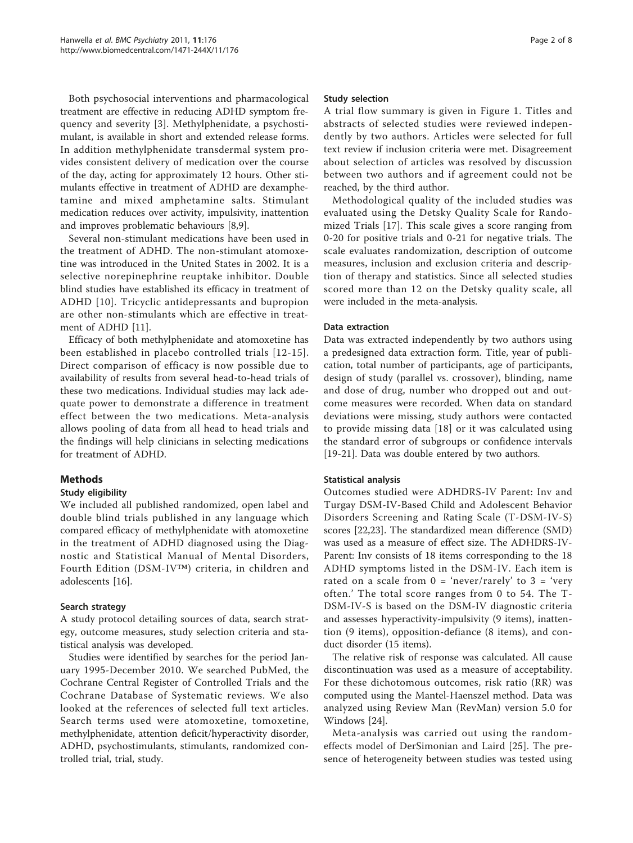Both psychosocial interventions and pharmacological treatment are effective in reducing ADHD symptom frequency and severity [\[3](#page-6-0)]. Methylphenidate, a psychostimulant, is available in short and extended release forms. In addition methylphenidate transdermal system provides consistent delivery of medication over the course of the day, acting for approximately 12 hours. Other stimulants effective in treatment of ADHD are dexamphetamine and mixed amphetamine salts. Stimulant medication reduces over activity, impulsivity, inattention and improves problematic behaviours [\[8,9](#page-6-0)].

Several non-stimulant medications have been used in the treatment of ADHD. The non-stimulant atomoxetine was introduced in the United States in 2002. It is a selective norepinephrine reuptake inhibitor. Double blind studies have established its efficacy in treatment of ADHD [[10](#page-6-0)]. Tricyclic antidepressants and bupropion are other non-stimulants which are effective in treatment of ADHD [\[11](#page-6-0)].

Efficacy of both methylphenidate and atomoxetine has been established in placebo controlled trials [[12-15\]](#page-6-0). Direct comparison of efficacy is now possible due to availability of results from several head-to-head trials of these two medications. Individual studies may lack adequate power to demonstrate a difference in treatment effect between the two medications. Meta-analysis allows pooling of data from all head to head trials and the findings will help clinicians in selecting medications for treatment of ADHD.

## Methods

## Study eligibility

We included all published randomized, open label and double blind trials published in any language which compared efficacy of methylphenidate with atomoxetine in the treatment of ADHD diagnosed using the Diagnostic and Statistical Manual of Mental Disorders, Fourth Edition (DSM-IV™) criteria, in children and adolescents [\[16](#page-7-0)].

## Search strategy

A study protocol detailing sources of data, search strategy, outcome measures, study selection criteria and statistical analysis was developed.

Studies were identified by searches for the period January 1995-December 2010. We searched PubMed, the Cochrane Central Register of Controlled Trials and the Cochrane Database of Systematic reviews. We also looked at the references of selected full text articles. Search terms used were atomoxetine, tomoxetine, methylphenidate, attention deficit/hyperactivity disorder, ADHD, psychostimulants, stimulants, randomized controlled trial, trial, study.

## Study selection

A trial flow summary is given in Figure [1.](#page-2-0) Titles and abstracts of selected studies were reviewed independently by two authors. Articles were selected for full text review if inclusion criteria were met. Disagreement about selection of articles was resolved by discussion between two authors and if agreement could not be reached, by the third author.

Methodological quality of the included studies was evaluated using the Detsky Quality Scale for Randomized Trials [[17](#page-7-0)]. This scale gives a score ranging from 0-20 for positive trials and 0-21 for negative trials. The scale evaluates randomization, description of outcome measures, inclusion and exclusion criteria and description of therapy and statistics. Since all selected studies scored more than 12 on the Detsky quality scale, all were included in the meta-analysis.

#### Data extraction

Data was extracted independently by two authors using a predesigned data extraction form. Title, year of publication, total number of participants, age of participants, design of study (parallel vs. crossover), blinding, name and dose of drug, number who dropped out and outcome measures were recorded. When data on standard deviations were missing, study authors were contacted to provide missing data [\[18](#page-7-0)] or it was calculated using the standard error of subgroups or confidence intervals [[19-21\]](#page-7-0). Data was double entered by two authors.

## Statistical analysis

Outcomes studied were ADHDRS-IV Parent: Inv and Turgay DSM-IV-Based Child and Adolescent Behavior Disorders Screening and Rating Scale (T-DSM-IV-S) scores [\[22,23](#page-7-0)]. The standardized mean difference (SMD) was used as a measure of effect size. The ADHDRS-IV-Parent: Inv consists of 18 items corresponding to the 18 ADHD symptoms listed in the DSM-IV. Each item is rated on a scale from  $0 = 'never/rarely'$  to  $3 = 'very$ often.' The total score ranges from 0 to 54. The T-DSM-IV-S is based on the DSM-IV diagnostic criteria and assesses hyperactivity-impulsivity (9 items), inattention (9 items), opposition-defiance (8 items), and conduct disorder (15 items).

The relative risk of response was calculated. All cause discontinuation was used as a measure of acceptability. For these dichotomous outcomes, risk ratio (RR) was computed using the Mantel-Haenszel method. Data was analyzed using Review Man (RevMan) version 5.0 for Windows [[24\]](#page-7-0).

Meta-analysis was carried out using the randomeffects model of DerSimonian and Laird [\[25](#page-7-0)]. The presence of heterogeneity between studies was tested using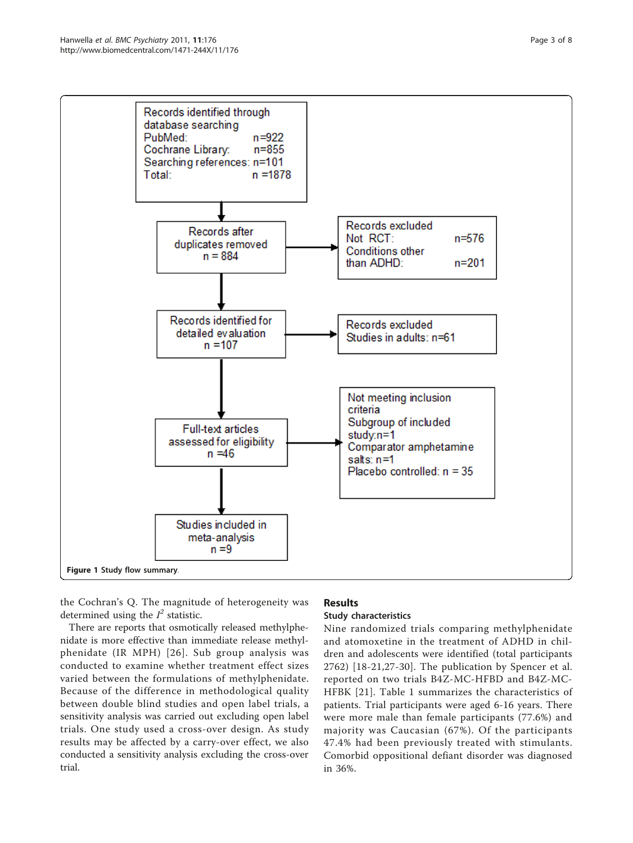<span id="page-2-0"></span>

the Cochran's Q. The magnitude of heterogeneity was determined using the  $I^2$  statistic.

There are reports that osmotically released methylphenidate is more effective than immediate release methylphenidate (IR MPH) [[26\]](#page-7-0). Sub group analysis was conducted to examine whether treatment effect sizes varied between the formulations of methylphenidate. Because of the difference in methodological quality between double blind studies and open label trials, a sensitivity analysis was carried out excluding open label trials. One study used a cross-over design. As study results may be affected by a carry-over effect, we also conducted a sensitivity analysis excluding the cross-over trial.

# **Results**

# Study characteristics

Nine randomized trials comparing methylphenidate and atomoxetine in the treatment of ADHD in children and adolescents were identified (total participants 2762) [\[18-21](#page-7-0),[27-30\]](#page-7-0). The publication by Spencer et al. reported on two trials B4Z-MC-HFBD and B4Z-MC-HFBK [[21\]](#page-7-0). Table [1](#page-3-0) summarizes the characteristics of patients. Trial participants were aged 6-16 years. There were more male than female participants (77.6%) and majority was Caucasian (67%). Of the participants 47.4% had been previously treated with stimulants. Comorbid oppositional defiant disorder was diagnosed in 36%.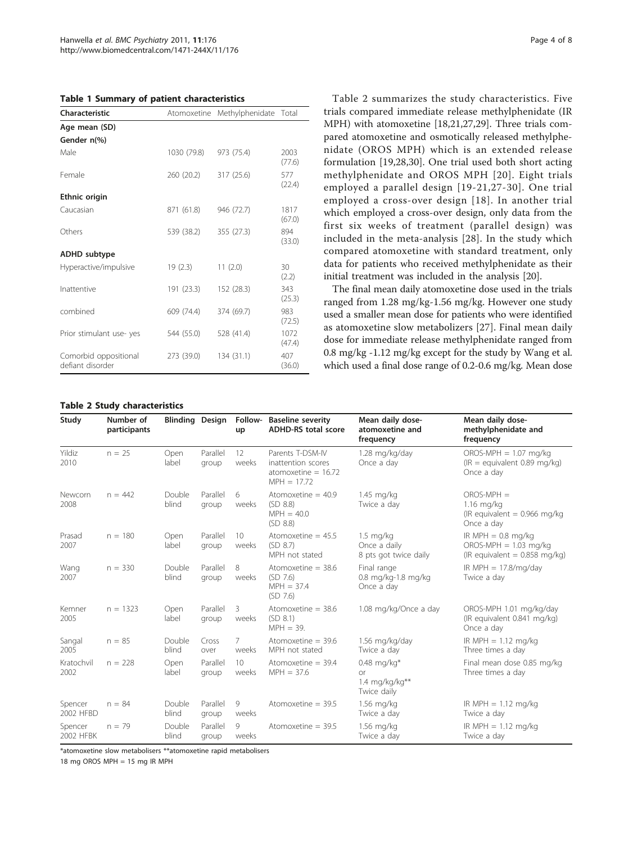<span id="page-3-0"></span>

|  |  |  |  |  | Table 1 Summary of patient characteristics |
|--|--|--|--|--|--------------------------------------------|
|--|--|--|--|--|--------------------------------------------|

| Characteristic                            |             | Atomoxetine Methylphenidate Total |                |  |  |  |
|-------------------------------------------|-------------|-----------------------------------|----------------|--|--|--|
| Age mean (SD)                             |             |                                   |                |  |  |  |
| Gender n(%)                               |             |                                   |                |  |  |  |
| Male                                      | 1030 (79.8) | 973 (75.4)                        | 2003<br>(77.6) |  |  |  |
| Female                                    | 260 (20.2)  | 317 (25.6)                        | 577<br>(22.4)  |  |  |  |
| Ethnic origin                             |             |                                   |                |  |  |  |
| Caucasian                                 | 871 (61.8)  | 946 (72.7)                        | 1817<br>(67.0) |  |  |  |
| Others                                    | 539 (38.2)  | 355 (27.3)                        | 894<br>(33.0)  |  |  |  |
| <b>ADHD</b> subtype                       |             |                                   |                |  |  |  |
| Hyperactive/impulsive                     | 19(2.3)     | 11(2.0)                           | 30<br>(2.2)    |  |  |  |
| Inattentive                               | 191 (23.3)  | 152 (28.3)                        | 343<br>(25.3)  |  |  |  |
| combined                                  | 609 (74.4)  | 374 (69.7)                        | 983<br>(72.5)  |  |  |  |
| Prior stimulant use-yes                   | 544 (55.0)  | 528 (41.4)                        | 1072<br>(47.4) |  |  |  |
| Comorbid oppositional<br>defiant disorder | 273 (39.0)  | 134 (31.1)                        | 407<br>(36.0)  |  |  |  |

Table 2 summarizes the study characteristics. Five trials compared immediate release methylphenidate (IR MPH) with atomoxetine [[18,21,27,29\]](#page-7-0). Three trials compared atomoxetine and osmotically released methylphenidate (OROS MPH) which is an extended release formulation [\[19,28](#page-7-0),[30\]](#page-7-0). One trial used both short acting methylphenidate and OROS MPH [[20](#page-7-0)]. Eight trials employed a parallel design [[19-21](#page-7-0),[27-30\]](#page-7-0). One trial employed a cross-over design [[18](#page-7-0)]. In another trial which employed a cross-over design, only data from the first six weeks of treatment (parallel design) was included in the meta-analysis [[28](#page-7-0)]. In the study which compared atomoxetine with standard treatment, only data for patients who received methylphenidate as their initial treatment was included in the analysis [\[20\]](#page-7-0).

The final mean daily atomoxetine dose used in the trials ranged from 1.28 mg/kg-1.56 mg/kg. However one study used a smaller mean dose for patients who were identified as atomoxetine slow metabolizers [\[27](#page-7-0)]. Final mean daily dose for immediate release methylphenidate ranged from 0.8 mg/kg -1.12 mg/kg except for the study by Wang et al. which used a final dose range of 0.2-0.6 mg/kg. Mean dose

#### Table 2 Study characteristics

| Study                | Number of<br>participants | <b>Blinding Design</b> |                   | Follow-<br>up            | <b>Baseline severity</b><br><b>ADHD-RS total score</b>                                    | Mean daily dose-<br>atomoxetine and<br>frequency             | Mean daily dose-<br>methylphenidate and<br>frequency                               |
|----------------------|---------------------------|------------------------|-------------------|--------------------------|-------------------------------------------------------------------------------------------|--------------------------------------------------------------|------------------------------------------------------------------------------------|
| Yildiz<br>2010       | $n = 25$                  | Open<br>label          | Parallel<br>group | 12<br>weeks              | Parents T-DSM-IV<br>inattention scores<br>atomoxetine = $16.72$<br>$MPH = 17.72$          | 1.28 mg/kg/day<br>Once a day                                 | $OROS-MPH = 1.07 mg/kg$<br>$(IR =$ equivalent 0.89 mg/kg)<br>Once a day            |
| Newcorn<br>2008      | $n = 442$                 | Double<br>blind        | Parallel<br>group | 6<br>weeks               | Atomoxetine $=$ 40.9<br>1.45 mg/kg<br>(SD 8.8)<br>Twice a day<br>$MPH = 40.0$<br>(SD 8.8) |                                                              | $OROS-MPH =$<br>$1.16$ mg/kg<br>(IR equivalent = $0.966$ mg/kg<br>Once a day       |
| Prasad<br>2007       | $n = 180$                 | Open<br>label          | Parallel<br>group | 10<br>weeks              | Atomoxetine $= 45.5$<br>(SD 8.7)<br>MPH not stated                                        | $1.5 \text{ mg/kg}$<br>Once a daily<br>8 pts got twice daily | IR MPH $= 0.8$ mg/kg<br>$OROS-MPH = 1.03 mg/kg$<br>(IR equivalent = $0.858$ mg/kg) |
| Wang<br>2007         | $n = 330$                 | Double<br>blind        | Parallel<br>group | 8<br>weeks               | Atomoxetine $=$ 38.6<br>(SD 7.6)<br>$MPH = 37.4$<br>(SD 7.6)                              | Final range<br>0.8 mg/kg-1.8 mg/kg<br>Once a day             | IR MPH $= 17.8/mg/day$<br>Twice a day                                              |
| Kemner<br>2005       | $n = 1323$                | Open<br>label          | Parallel<br>group | 3<br>weeks               | Atomoxetine $=$ 38.6<br>(SD 8.1)<br>$MPH = 39.$                                           | 1.08 mg/kg/Once a day                                        | OROS-MPH 1.01 mg/kg/day<br>(IR equivalent 0.841 mg/kg)<br>Once a day               |
| Sangal<br>2005       | $n = 85$                  | Double<br>blind        | Cross<br>over     | 7<br>weeks               | Atomoxetine $=$ 39.6<br>MPH not stated                                                    | 1.56 mg/kg/day<br>Twice a day                                | IR MPH $= 1.12$ mg/kg<br>Three times a day                                         |
| Kratochvil<br>2002   | $n = 228$                 | Open<br>label          | Parallel<br>group | 10 <sup>°</sup><br>weeks | Atomoxetine $=$ 39.4<br>$MPH = 37.6$                                                      | $0.48$ mg/kg*<br><b>or</b><br>1.4 mg/kg/kg**<br>Twice daily  | Final mean dose 0.85 mg/kg<br>Three times a day                                    |
| Spencer<br>2002 HFBD | $n = 84$                  | Double<br>blind        | Parallel<br>group | 9<br>weeks               | Atomoxetine $=$ 39.5                                                                      | 1.56 mg/kg<br>Twice a day                                    | IR MPH $= 1.12$ mg/kg<br>Twice a day                                               |
| Spencer<br>2002 HFBK | $n = 79$                  | Double<br>blind        | Parallel<br>group | 9<br>weeks               | Atomoxetine $=$ 39.5                                                                      | $1.56$ mg/kg<br>Twice a day                                  | IR MPH $= 1.12$ mg/kg<br>Twice a day                                               |

\*atomoxetine slow metabolisers \*\*atomoxetine rapid metabolisers

18 mg OROS MPH = 15 mg IR MPH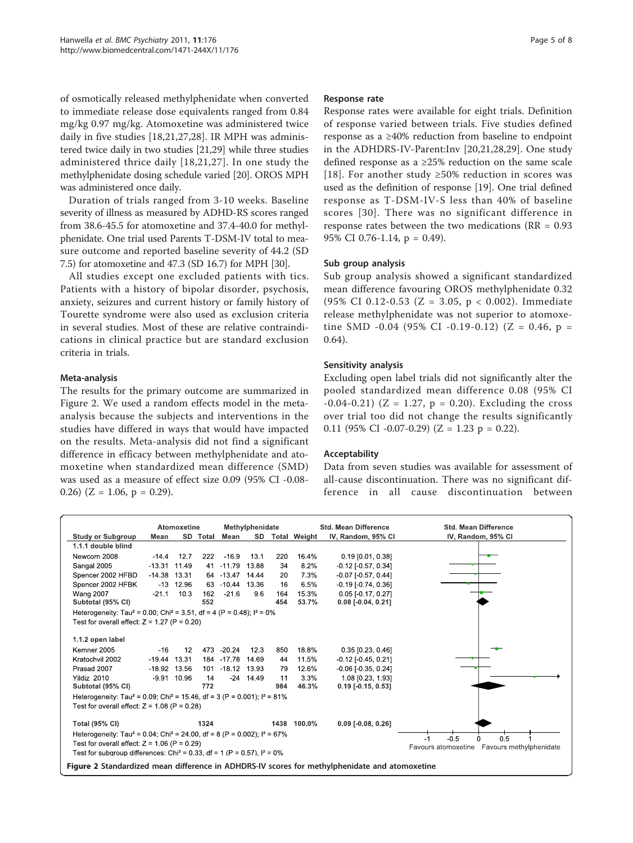of osmotically released methylphenidate when converted to immediate release dose equivalents ranged from 0.84 mg/kg 0.97 mg/kg. Atomoxetine was administered twice daily in five studies [[18,21](#page-7-0),[27,28\]](#page-7-0). IR MPH was administered twice daily in two studies [[21,29](#page-7-0)] while three studies administered thrice daily [[18,21](#page-7-0),[27](#page-7-0)]. In one study the methylphenidate dosing schedule varied [\[20\]](#page-7-0). OROS MPH was administered once daily.

Duration of trials ranged from 3-10 weeks. Baseline severity of illness as measured by ADHD-RS scores ranged from 38.6-45.5 for atomoxetine and 37.4-40.0 for methylphenidate. One trial used Parents T-DSM-IV total to measure outcome and reported baseline severity of 44.2 (SD 7.5) for atomoxetine and 47.3 (SD 16.7) for MPH [\[30\]](#page-7-0).

All studies except one excluded patients with tics. Patients with a history of bipolar disorder, psychosis, anxiety, seizures and current history or family history of Tourette syndrome were also used as exclusion criteria in several studies. Most of these are relative contraindications in clinical practice but are standard exclusion criteria in trials.

#### Meta-analysis

The results for the primary outcome are summarized in Figure 2. We used a random effects model in the metaanalysis because the subjects and interventions in the studies have differed in ways that would have impacted on the results. Meta-analysis did not find a significant difference in efficacy between methylphenidate and atomoxetine when standardized mean difference (SMD) was used as a measure of effect size 0.09 (95% CI -0.08- 0.26) ( $Z = 1.06$ ,  $p = 0.29$ ).

#### Response rate

Response rates were available for eight trials. Definition of response varied between trials. Five studies defined response as a ≥40% reduction from baseline to endpoint in the ADHDRS-IV-Parent:Inv [[20,21,28](#page-7-0),[29](#page-7-0)]. One study defined response as a ≥25% reduction on the same scale [[18](#page-7-0)]. For another study  $\geq 50\%$  reduction in scores was used as the definition of response [[19\]](#page-7-0). One trial defined response as T-DSM-IV-S less than 40% of baseline scores [[30](#page-7-0)]. There was no significant difference in response rates between the two medications (RR = 0.93 95% CI 0.76-1.14, p = 0.49).

#### Sub group analysis

Sub group analysis showed a significant standardized mean difference favouring OROS methylphenidate 0.32 (95% CI 0.12-0.53 (Z = 3.05, p < 0.002). Immediate release methylphenidate was not superior to atomoxetine SMD -0.04 (95% CI -0.19-0.12) (Z = 0.46,  $p =$ 0.64).

#### Sensitivity analysis

Excluding open label trials did not significantly alter the pooled standardized mean difference 0.08 (95% CI  $-0.04 - 0.21$ ) (Z = 1.27, p = 0.20). Excluding the cross over trial too did not change the results significantly 0.11 (95% CI -0.07-0.29) ( $Z = 1.23$  p = 0.22).

#### Acceptability

Data from seven studies was available for assessment of all-cause discontinuation. There was no significant difference in all cause discontinuation between

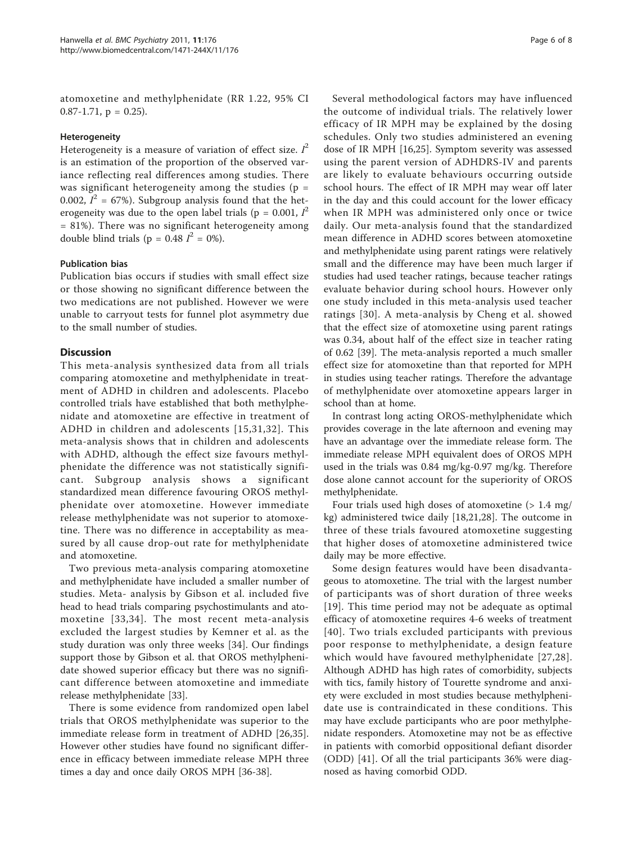atomoxetine and methylphenidate (RR 1.22, 95% CI 0.87-1.71,  $p = 0.25$ ).

#### Heterogeneity

Heterogeneity is a measure of variation of effect size.  $I^2$ is an estimation of the proportion of the observed variance reflecting real differences among studies. There was significant heterogeneity among the studies ( $p =$ 0.002,  $I^2 = 67\%$ ). Subgroup analysis found that the heterogeneity was due to the open label trials ( $p = 0.001$ ,  $I^2$ = 81%). There was no significant heterogeneity among double blind trials ( $p = 0.48$   $I^2 = 0\%$ ).

#### Publication bias

Publication bias occurs if studies with small effect size or those showing no significant difference between the two medications are not published. However we were unable to carryout tests for funnel plot asymmetry due to the small number of studies.

## Discussion

This meta-analysis synthesized data from all trials comparing atomoxetine and methylphenidate in treatment of ADHD in children and adolescents. Placebo controlled trials have established that both methylphenidate and atomoxetine are effective in treatment of ADHD in children and adolescents [[15](#page-6-0),[31,32](#page-7-0)]. This meta-analysis shows that in children and adolescents with ADHD, although the effect size favours methylphenidate the difference was not statistically significant. Subgroup analysis shows a significant standardized mean difference favouring OROS methylphenidate over atomoxetine. However immediate release methylphenidate was not superior to atomoxetine. There was no difference in acceptability as measured by all cause drop-out rate for methylphenidate and atomoxetine.

Two previous meta-analysis comparing atomoxetine and methylphenidate have included a smaller number of studies. Meta- analysis by Gibson et al. included five head to head trials comparing psychostimulants and atomoxetine [[33,34](#page-7-0)]. The most recent meta-analysis excluded the largest studies by Kemner et al. as the study duration was only three weeks [[34\]](#page-7-0). Our findings support those by Gibson et al. that OROS methylphenidate showed superior efficacy but there was no significant difference between atomoxetine and immediate release methylphenidate [[33](#page-7-0)].

There is some evidence from randomized open label trials that OROS methylphenidate was superior to the immediate release form in treatment of ADHD [[26,35](#page-7-0)]. However other studies have found no significant difference in efficacy between immediate release MPH three times a day and once daily OROS MPH [[36](#page-7-0)-[38\]](#page-7-0).

Several methodological factors may have influenced the outcome of individual trials. The relatively lower efficacy of IR MPH may be explained by the dosing schedules. Only two studies administered an evening dose of IR MPH [\[16,25](#page-7-0)]. Symptom severity was assessed using the parent version of ADHDRS-IV and parents are likely to evaluate behaviours occurring outside school hours. The effect of IR MPH may wear off later in the day and this could account for the lower efficacy when IR MPH was administered only once or twice daily. Our meta-analysis found that the standardized mean difference in ADHD scores between atomoxetine and methylphenidate using parent ratings were relatively small and the difference may have been much larger if studies had used teacher ratings, because teacher ratings evaluate behavior during school hours. However only one study included in this meta-analysis used teacher ratings [[30](#page-7-0)]. A meta-analysis by Cheng et al. showed that the effect size of atomoxetine using parent ratings was 0.34, about half of the effect size in teacher rating of 0.62 [[39](#page-7-0)]. The meta-analysis reported a much smaller effect size for atomoxetine than that reported for MPH in studies using teacher ratings. Therefore the advantage of methylphenidate over atomoxetine appears larger in school than at home.

In contrast long acting OROS-methylphenidate which provides coverage in the late afternoon and evening may have an advantage over the immediate release form. The immediate release MPH equivalent does of OROS MPH used in the trials was 0.84 mg/kg-0.97 mg/kg. Therefore dose alone cannot account for the superiority of OROS methylphenidate.

Four trials used high doses of atomoxetine  $(> 1.4 \text{ mg}/)$ kg) administered twice daily [[18,21,28\]](#page-7-0). The outcome in three of these trials favoured atomoxetine suggesting that higher doses of atomoxetine administered twice daily may be more effective.

Some design features would have been disadvantageous to atomoxetine. The trial with the largest number of participants was of short duration of three weeks [[19](#page-7-0)]. This time period may not be adequate as optimal efficacy of atomoxetine requires 4-6 weeks of treatment [[40\]](#page-7-0). Two trials excluded participants with previous poor response to methylphenidate, a design feature which would have favoured methylphenidate [[27,28\]](#page-7-0). Although ADHD has high rates of comorbidity, subjects with tics, family history of Tourette syndrome and anxiety were excluded in most studies because methylphenidate use is contraindicated in these conditions. This may have exclude participants who are poor methylphenidate responders. Atomoxetine may not be as effective in patients with comorbid oppositional defiant disorder (ODD) [[41\]](#page-7-0). Of all the trial participants 36% were diagnosed as having comorbid ODD.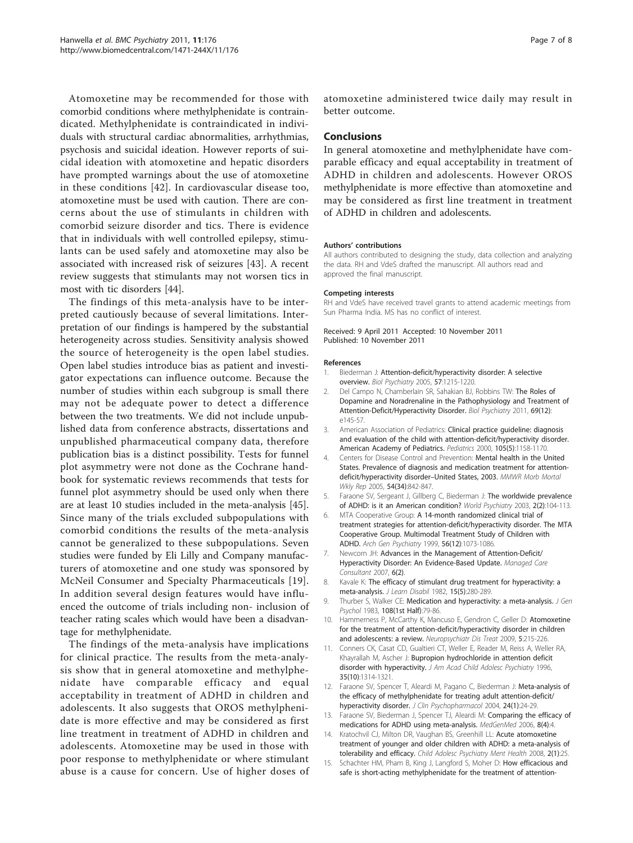<span id="page-6-0"></span>Atomoxetine may be recommended for those with comorbid conditions where methylphenidate is contraindicated. Methylphenidate is contraindicated in individuals with structural cardiac abnormalities, arrhythmias, psychosis and suicidal ideation. However reports of suicidal ideation with atomoxetine and hepatic disorders have prompted warnings about the use of atomoxetine in these conditions [[42](#page-7-0)]. In cardiovascular disease too, atomoxetine must be used with caution. There are concerns about the use of stimulants in children with comorbid seizure disorder and tics. There is evidence that in individuals with well controlled epilepsy, stimulants can be used safely and atomoxetine may also be associated with increased risk of seizures [[43](#page-7-0)]. A recent review suggests that stimulants may not worsen tics in most with tic disorders [\[44\]](#page-7-0).

The findings of this meta-analysis have to be interpreted cautiously because of several limitations. Interpretation of our findings is hampered by the substantial heterogeneity across studies. Sensitivity analysis showed the source of heterogeneity is the open label studies. Open label studies introduce bias as patient and investigator expectations can influence outcome. Because the number of studies within each subgroup is small there may not be adequate power to detect a difference between the two treatments. We did not include unpublished data from conference abstracts, dissertations and unpublished pharmaceutical company data, therefore publication bias is a distinct possibility. Tests for funnel plot asymmetry were not done as the Cochrane handbook for systematic reviews recommends that tests for funnel plot asymmetry should be used only when there are at least 10 studies included in the meta-analysis [[45](#page-7-0)]. Since many of the trials excluded subpopulations with comorbid conditions the results of the meta-analysis cannot be generalized to these subpopulations. Seven studies were funded by Eli Lilly and Company manufacturers of atomoxetine and one study was sponsored by McNeil Consumer and Specialty Pharmaceuticals [[19](#page-7-0)]. In addition several design features would have influenced the outcome of trials including non- inclusion of teacher rating scales which would have been a disadvantage for methylphenidate.

The findings of the meta-analysis have implications for clinical practice. The results from the meta-analysis show that in general atomoxetine and methylphenidate have comparable efficacy and equal acceptability in treatment of ADHD in children and adolescents. It also suggests that OROS methylphenidate is more effective and may be considered as first line treatment in treatment of ADHD in children and adolescents. Atomoxetine may be used in those with poor response to methylphenidate or where stimulant abuse is a cause for concern. Use of higher doses of

atomoxetine administered twice daily may result in better outcome.

#### Conclusions

In general atomoxetine and methylphenidate have comparable efficacy and equal acceptability in treatment of ADHD in children and adolescents. However OROS methylphenidate is more effective than atomoxetine and may be considered as first line treatment in treatment of ADHD in children and adolescents.

#### Authors' contributions

All authors contributed to designing the study, data collection and analyzing the data. RH and VdeS drafted the manuscript. All authors read and approved the final manuscript.

#### Competing interests

RH and VdeS have received travel grants to attend academic meetings from Sun Pharma India. MS has no conflict of interest.

#### Received: 9 April 2011 Accepted: 10 November 2011 Published: 10 November 2011

#### References

- 1. Biederman J: [Attention-deficit/hyperactivity disorder: A selective](http://www.ncbi.nlm.nih.gov/pubmed/15949990?dopt=Abstract) [overview.](http://www.ncbi.nlm.nih.gov/pubmed/15949990?dopt=Abstract) Biol Psychiatry 2005, 57:1215-1220.
- 2. Del Campo N, Chamberlain SR, Sahakian BJ, Robbins TW: [The Roles of](http://www.ncbi.nlm.nih.gov/pubmed/21550021?dopt=Abstract) [Dopamine and Noradrenaline in the Pathophysiology and Treatment of](http://www.ncbi.nlm.nih.gov/pubmed/21550021?dopt=Abstract) [Attention-Deficit/Hyperactivity Disorder.](http://www.ncbi.nlm.nih.gov/pubmed/21550021?dopt=Abstract) Biol Psychiatry 2011, 69(12): e145-57.
- 3. American Association of Pediatrics: [Clinical practice guideline: diagnosis](http://www.ncbi.nlm.nih.gov/pubmed/10836893?dopt=Abstract) [and evaluation of the child with attention-deficit/hyperactivity disorder.](http://www.ncbi.nlm.nih.gov/pubmed/10836893?dopt=Abstract) [American Academy of Pediatrics.](http://www.ncbi.nlm.nih.gov/pubmed/10836893?dopt=Abstract) Pediatrics 2000, 105(5):1158-1170.
- 4. Centers for Disease Control and Prevention: [Mental health in the United](http://www.ncbi.nlm.nih.gov/pubmed/16138075?dopt=Abstract) [States. Prevalence of diagnosis and medication treatment for attention](http://www.ncbi.nlm.nih.gov/pubmed/16138075?dopt=Abstract)[deficit/hyperactivity disorder](http://www.ncbi.nlm.nih.gov/pubmed/16138075?dopt=Abstract)–United States, 2003. MMWR Morb Mortal Wkly Rep 2005, 54(34):842-847.
- 5. Faraone SV, Sergeant J, Gillberg C, Biederman J: [The worldwide prevalence](http://www.ncbi.nlm.nih.gov/pubmed/16946912?dopt=Abstract) [of ADHD: is it an American condition?](http://www.ncbi.nlm.nih.gov/pubmed/16946912?dopt=Abstract) World Psychiatry 2003, 2(2):104-113.
- 6. MTA Cooperative Group: [A 14-month randomized clinical trial of](http://www.ncbi.nlm.nih.gov/pubmed/10591283?dopt=Abstract) [treatment strategies for attention-deficit/hyperactivity disorder. The MTA](http://www.ncbi.nlm.nih.gov/pubmed/10591283?dopt=Abstract) [Cooperative Group. Multimodal Treatment Study of Children with](http://www.ncbi.nlm.nih.gov/pubmed/10591283?dopt=Abstract) [ADHD.](http://www.ncbi.nlm.nih.gov/pubmed/10591283?dopt=Abstract) Arch Gen Psychiatry 1999, 56(12):1073-1086.
- 7. Newcorn JH: Advances in the Management of Attention-Deficit/ Hyperactivity Disorder: An Evidence-Based Update. Managed Care Consultant 2007, 6(2).
- 8. Kavale K: [The efficacy of stimulant drug treatment for hyperactivity: a](http://www.ncbi.nlm.nih.gov/pubmed/6123539?dopt=Abstract) [meta-analysis.](http://www.ncbi.nlm.nih.gov/pubmed/6123539?dopt=Abstract) J Learn Disabil 1982, 15(5):280-289.
- 9. Thurber S, Walker CE: [Medication and hyperactivity: a meta-analysis.](http://www.ncbi.nlm.nih.gov/pubmed/6131929?dopt=Abstract) J Gen Psychol 1983, 108(1st Half):79-86.
- 10. Hammerness P, McCarthy K, Mancuso E, Gendron C, Geller D: [Atomoxetine](http://www.ncbi.nlm.nih.gov/pubmed/19557116?dopt=Abstract) [for the treatment of attention-deficit/hyperactivity disorder in children](http://www.ncbi.nlm.nih.gov/pubmed/19557116?dopt=Abstract) [and adolescents: a review.](http://www.ncbi.nlm.nih.gov/pubmed/19557116?dopt=Abstract) Neuropsychiatr Dis Treat 2009, 5:215-226.
- 11. Conners CK, Casat CD, Gualtieri CT, Weller E, Reader M, Reiss A, Weller RA, Khayrallah M, Ascher J: [Bupropion hydrochloride in attention deficit](http://www.ncbi.nlm.nih.gov/pubmed/8885585?dopt=Abstract) [disorder with hyperactivity.](http://www.ncbi.nlm.nih.gov/pubmed/8885585?dopt=Abstract) J Am Acad Child Adolesc Psychiatry 1996, 35(10):1314-1321.
- 12. Faraone SV, Spencer T, Aleardi M, Pagano C, Biederman J: [Meta-analysis of](http://www.ncbi.nlm.nih.gov/pubmed/14709943?dopt=Abstract) [the efficacy of methylphenidate for treating adult attention-deficit/](http://www.ncbi.nlm.nih.gov/pubmed/14709943?dopt=Abstract) [hyperactivity disorder.](http://www.ncbi.nlm.nih.gov/pubmed/14709943?dopt=Abstract) J Clin Psychopharmacol 2004, 24(1):24-29.
- 13. Faraone SV, Biederman J, Spencer TJ, Aleardi M: [Comparing the efficacy of](http://www.ncbi.nlm.nih.gov/pubmed/17415287?dopt=Abstract) [medications for ADHD using meta-analysis.](http://www.ncbi.nlm.nih.gov/pubmed/17415287?dopt=Abstract) MedGenMed 2006, 8(4):4.
- 14. Kratochvil CJ, Milton DR, Vaughan BS, Greenhill LL: [Acute atomoxetine](http://www.ncbi.nlm.nih.gov/pubmed/18793405?dopt=Abstract) treatment [of younger and older children with ADHD: a meta-analysis of](http://www.ncbi.nlm.nih.gov/pubmed/18793405?dopt=Abstract) [tolerability and efficacy.](http://www.ncbi.nlm.nih.gov/pubmed/18793405?dopt=Abstract) Child Adolesc Psychiatry Ment Health 2008, 2(1):25.
- 15. Schachter HM, Pham B, King J, Langford S, Moher D: [How efficacious and](http://www.ncbi.nlm.nih.gov/pubmed/11762571?dopt=Abstract) [safe is short-acting methylphenidate for the treatment of attention-](http://www.ncbi.nlm.nih.gov/pubmed/11762571?dopt=Abstract)